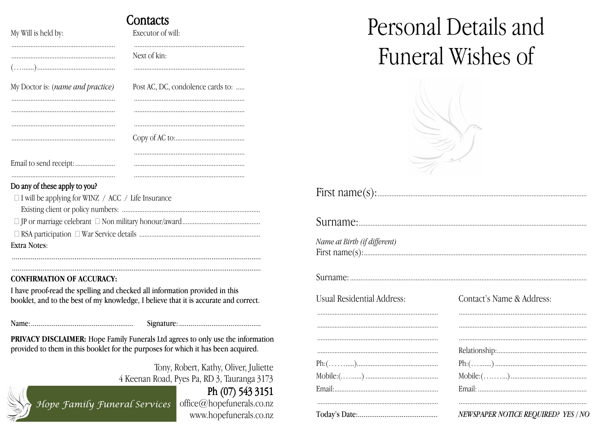|                                                                                            | Contacts                          |  |  |  |
|--------------------------------------------------------------------------------------------|-----------------------------------|--|--|--|
| My Will is held by:                                                                        | Executor of will:                 |  |  |  |
|                                                                                            | Next of kin:                      |  |  |  |
| My Doctor is: (name and practice)                                                          | Post AC, DC, condolence cards to: |  |  |  |
|                                                                                            |                                   |  |  |  |
|                                                                                            |                                   |  |  |  |
|                                                                                            |                                   |  |  |  |
|                                                                                            |                                   |  |  |  |
|                                                                                            |                                   |  |  |  |
|                                                                                            |                                   |  |  |  |
| Do any of these apply to you?<br>$\Box$ I will be applying for WINZ / ACC / Life Insurance |                                   |  |  |  |

| Extra Notes: |
|--------------|

### **CONFIRMATION OF ACCURACY:**

I have proof-read the spelling and checked all information provided in this booklet, and to the best of my knowledge, I believe that it is accurate and correct.

PRIVACY DISCLAIMER: Hope Family Funerals Ltd agrees to only use the information provided to them in this booklet for the purposes for which it has been acquired.

> Tony, Robert, Kathy, Oliver, Juliette 4 Keenan Road, Pyes Pa, RD 3, Tauranga 3173

## Ph (07) 543 3151

Hope Family Funeral Services

office@hopefunerals.co.nz www.hopefunerals.co.nz

# Personal Details and Funeral Wishes of



## 

Name at Birth (if different) 

## 

**Usual Residential Address:** 

| Contact's Name & Address: |
|---------------------------|
|                           |
|                           |
|                           |
|                           |
|                           |
|                           |

. . . . . . . .

. . . . . . .

. . . . . . . .

. . . . . . .

. . . . . . . .

| ${\rm Mobile:} ( \ldots \ldots \ldots )$ |  |
|------------------------------------------|--|
|                                          |  |

#### NEWSPAPER NOTICE REQUIRED? YES / NO